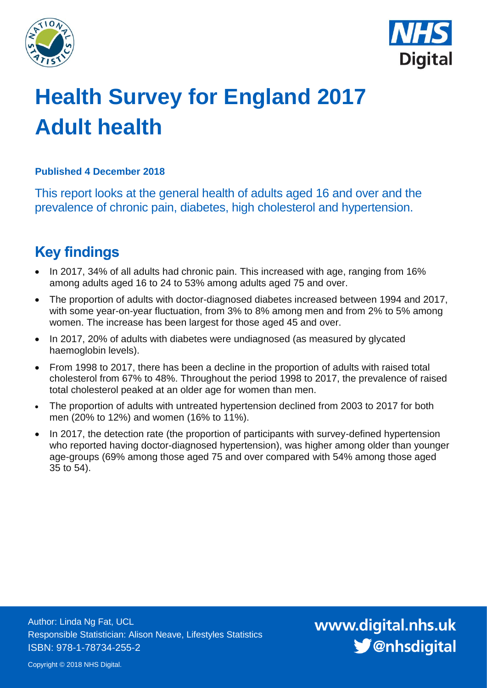



# **Health Survey for England 2017 Adult health**

## **Published 4 December 2018**

This report looks at the general health of adults aged 16 and over and the prevalence of chronic pain, diabetes, high cholesterol and hypertension.

# <span id="page-0-0"></span>**Key findings**

- In 2017, 34% of all adults had chronic pain. This increased with age, ranging from 16% among adults aged 16 to 24 to 53% among adults aged 75 and over.
- The proportion of adults with doctor-diagnosed diabetes increased between 1994 and 2017, with some year-on-year fluctuation, from 3% to 8% among men and from 2% to 5% among women. The increase has been largest for those aged 45 and over.
- In 2017, 20% of adults with diabetes were undiagnosed (as measured by glycated haemoglobin levels).
- From 1998 to 2017, there has been a decline in the proportion of adults with raised total cholesterol from 67% to 48%. Throughout the period 1998 to 2017, the prevalence of raised total cholesterol peaked at an older age for women than men.
- The proportion of adults with untreated hypertension declined from 2003 to 2017 for both men (20% to 12%) and women (16% to 11%).
- In 2017, the detection rate (the proportion of participants with survey-defined hypertension who reported having doctor-diagnosed hypertension), was higher among older than younger age-groups (69% among those aged 75 and over compared with 54% among those aged 35 to 54).

Author: Linda Ng Fat, UCL Responsible Statistician: Alison Neave, Lifestyles Statistics ISBN: 978-1-78734-255-2

www.digital.nhs.uk S @nhsdigital

Copyright © 2018 NHS Digital.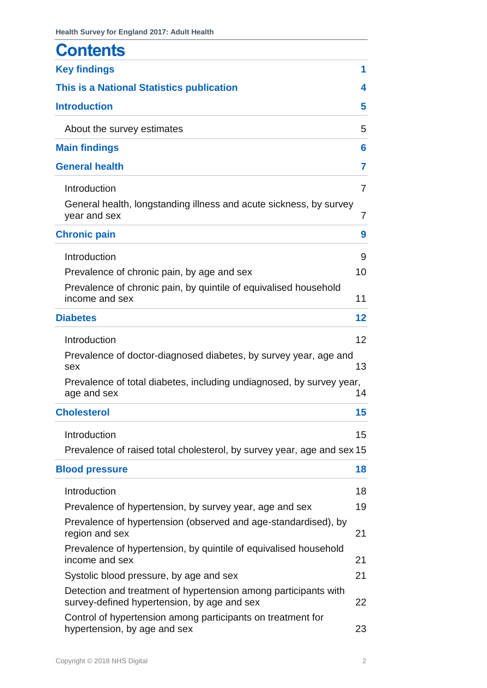| <b>Contents</b>                                                                                                |    |
|----------------------------------------------------------------------------------------------------------------|----|
| <b>Key findings</b>                                                                                            | 1  |
| This is a National Statistics publication                                                                      | 4  |
| <b>Introduction</b>                                                                                            | 5  |
| About the survey estimates                                                                                     | 5  |
| <b>Main findings</b>                                                                                           | 6  |
| <b>General health</b>                                                                                          | 7  |
| Introduction                                                                                                   | 7  |
| General health, longstanding illness and acute sickness, by survey<br>year and sex                             | 7  |
| <b>Chronic pain</b>                                                                                            | 9  |
| Introduction                                                                                                   | 9  |
| Prevalence of chronic pain, by age and sex                                                                     | 10 |
| Prevalence of chronic pain, by quintile of equivalised household<br>income and sex                             | 11 |
| <b>Diabetes</b>                                                                                                | 12 |
| Introduction                                                                                                   | 12 |
| Prevalence of doctor-diagnosed diabetes, by survey year, age and<br>sex                                        | 13 |
| Prevalence of total diabetes, including undiagnosed, by survey year,<br>age and sex                            | 14 |
| <b>Cholesterol</b>                                                                                             | 15 |
| Introduction                                                                                                   | 15 |
| Prevalence of raised total cholesterol, by survey year, age and sex 15                                         |    |
| <b>Blood pressure</b>                                                                                          | 18 |
| Introduction                                                                                                   | 18 |
| Prevalence of hypertension, by survey year, age and sex                                                        | 19 |
| Prevalence of hypertension (observed and age-standardised), by<br>region and sex                               | 21 |
| Prevalence of hypertension, by quintile of equivalised household<br>income and sex                             | 21 |
| Systolic blood pressure, by age and sex                                                                        | 21 |
| Detection and treatment of hypertension among participants with<br>survey-defined hypertension, by age and sex | 22 |
| Control of hypertension among participants on treatment for<br>hypertension, by age and sex                    | 23 |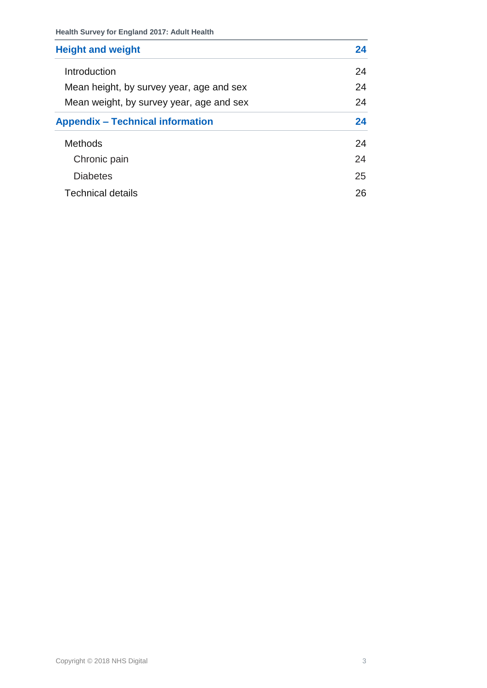| <b>Height and weight</b>                 | 24 |
|------------------------------------------|----|
| Introduction                             | 24 |
| Mean height, by survey year, age and sex | 24 |
| Mean weight, by survey year, age and sex | 24 |
| <b>Appendix – Technical information</b>  | 24 |
| <b>Methods</b>                           | 24 |
| Chronic pain                             | 24 |
| <b>Diabetes</b>                          | 25 |
| Technical details                        | 26 |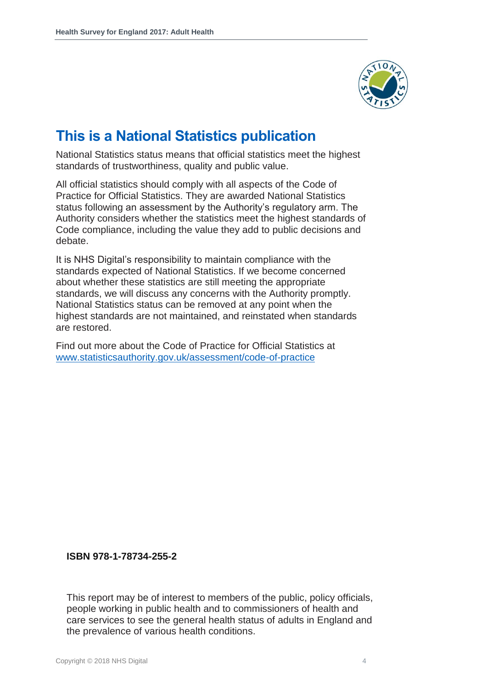

## **This is a National Statistics publication**

National Statistics status means that official statistics meet the highest standards of trustworthiness, quality and public value.

All official statistics should comply with all aspects of the Code of Practice for Official Statistics. They are awarded National Statistics status following an assessment by the Authority's regulatory arm. The Authority considers whether the statistics meet the highest standards of Code compliance, including the value they add to public decisions and debate.

It is NHS Digital's responsibility to maintain compliance with the standards expected of National Statistics. If we become concerned about whether these statistics are still meeting the appropriate standards, we will discuss any concerns with the Authority promptly. National Statistics status can be removed at any point when the highest standards are not maintained, and reinstated when standards are restored.

Find out more about the Code of Practice for Official Statistics at [www.statisticsauthority.gov.uk/assessment/code-of-practice](http://www.statisticsauthority.gov.uk/assessment/code-of-practice)

**ISBN 978-1-78734-255-2**

This report may be of interest to members of the public, policy officials, people working in public health and to commissioners of health and care services to see the general health status of adults in England and the prevalence of various health conditions.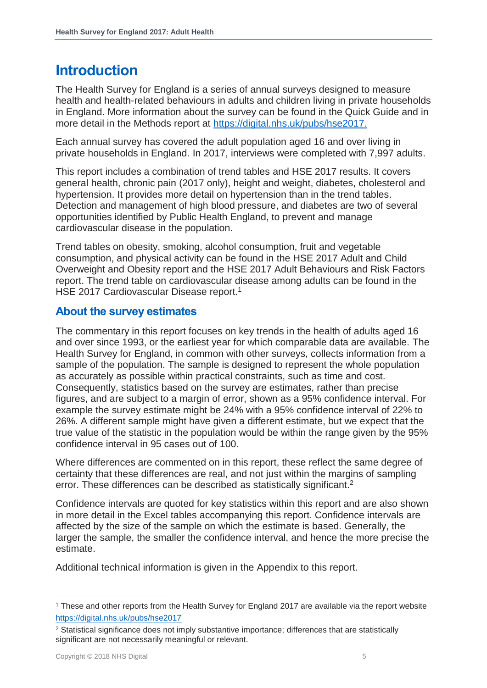## <span id="page-4-0"></span>**Introduction**

The Health Survey for England is a series of annual surveys designed to measure health and health-related behaviours in adults and children living in private households in England. More information about the survey can be found in the Quick Guide and in more detail in the Methods report at [https://digital.nhs.uk/pubs/hse2017.](https://digital.nhs.uk/pubs/hse2017)

Each annual survey has covered the adult population aged 16 and over living in private households in England. In 2017, interviews were completed with 7,997 adults.

This report includes a combination of trend tables and HSE 2017 results. It covers general health, chronic pain (2017 only), height and weight, diabetes, cholesterol and hypertension. It provides more detail on hypertension than in the trend tables. Detection and management of high blood pressure, and diabetes are two of several opportunities identified by Public Health England, to prevent and manage cardiovascular disease in the population.

Trend tables on obesity, smoking, alcohol consumption, fruit and vegetable consumption, and physical activity can be found in the HSE 2017 Adult and Child Overweight and Obesity report and the HSE 2017 Adult Behaviours and Risk Factors report. The trend table on cardiovascular disease among adults can be found in the HSE 2017 Cardiovascular Disease report.<sup>1</sup>

## <span id="page-4-1"></span>**About the survey estimates**

The commentary in this report focuses on key trends in the health of adults aged 16 and over since 1993, or the earliest year for which comparable data are available. The Health Survey for England, in common with other surveys, collects information from a sample of the population. The sample is designed to represent the whole population as accurately as possible within practical constraints, such as time and cost. Consequently, statistics based on the survey are estimates, rather than precise figures, and are subject to a margin of error, shown as a 95% confidence interval. For example the survey estimate might be 24% with a 95% confidence interval of 22% to 26%. A different sample might have given a different estimate, but we expect that the true value of the statistic in the population would be within the range given by the 95% confidence interval in 95 cases out of 100.

Where differences are commented on in this report, these reflect the same degree of certainty that these differences are real, and not just within the margins of sampling error. These differences can be described as statistically significant.<sup>2</sup>

Confidence intervals are quoted for key statistics within this report and are also shown in more detail in the Excel tables accompanying this report. Confidence intervals are affected by the size of the sample on which the estimate is based. Generally, the larger the sample, the smaller the confidence interval, and hence the more precise the estimate.

Additional technical information is given in the Appendix to this report.

<sup>1</sup> These and other reports from the Health Survey for England 2017 are available via the report website <https://digital.nhs.uk/pubs/hse2017>

<sup>&</sup>lt;sup>2</sup> Statistical significance does not imply substantive importance; differences that are statistically significant are not necessarily meaningful or relevant.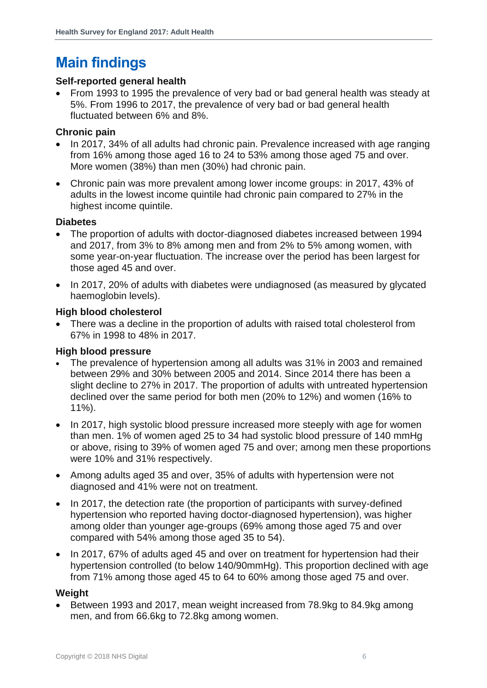## <span id="page-5-0"></span>**Main findings**

#### **Self-reported general health**

• From 1993 to 1995 the prevalence of very bad or bad general health was steady at 5%. From 1996 to 2017, the prevalence of very bad or bad general health fluctuated between 6% and 8%.

#### **Chronic pain**

- In 2017, 34% of all adults had chronic pain. Prevalence increased with age ranging from 16% among those aged 16 to 24 to 53% among those aged 75 and over. More women (38%) than men (30%) had chronic pain.
- Chronic pain was more prevalent among lower income groups: in 2017, 43% of adults in the lowest income quintile had chronic pain compared to 27% in the highest income quintile.

#### **Diabetes**

- The proportion of adults with doctor-diagnosed diabetes increased between 1994 and 2017, from 3% to 8% among men and from 2% to 5% among women, with some year-on-year fluctuation. The increase over the period has been largest for those aged 45 and over.
- In 2017, 20% of adults with diabetes were undiagnosed (as measured by glycated haemoglobin levels).

### **High blood cholesterol**

• There was a decline in the proportion of adults with raised total cholesterol from 67% in 1998 to 48% in 2017.

#### **High blood pressure**

- The prevalence of hypertension among all adults was 31% in 2003 and remained between 29% and 30% between 2005 and 2014. Since 2014 there has been a slight decline to 27% in 2017. The proportion of adults with untreated hypertension declined over the same period for both men (20% to 12%) and women (16% to 11%).
- In 2017, high systolic blood pressure increased more steeply with age for women than men. 1% of women aged 25 to 34 had systolic blood pressure of 140 mmHg or above, rising to 39% of women aged 75 and over; among men these proportions were 10% and 31% respectively.
- Among adults aged 35 and over, 35% of adults with hypertension were not diagnosed and 41% were not on treatment.
- In 2017, the detection rate (the proportion of participants with survey-defined hypertension who reported having doctor-diagnosed hypertension), was higher among older than younger age-groups (69% among those aged 75 and over compared with 54% among those aged 35 to 54).
- In 2017, 67% of adults aged 45 and over on treatment for hypertension had their hypertension controlled (to below 140/90mmHg). This proportion declined with age from 71% among those aged 45 to 64 to 60% among those aged 75 and over.

## **Weight**

• Between 1993 and 2017, mean weight increased from 78.9kg to 84.9kg among men, and from 66.6kg to 72.8kg among women.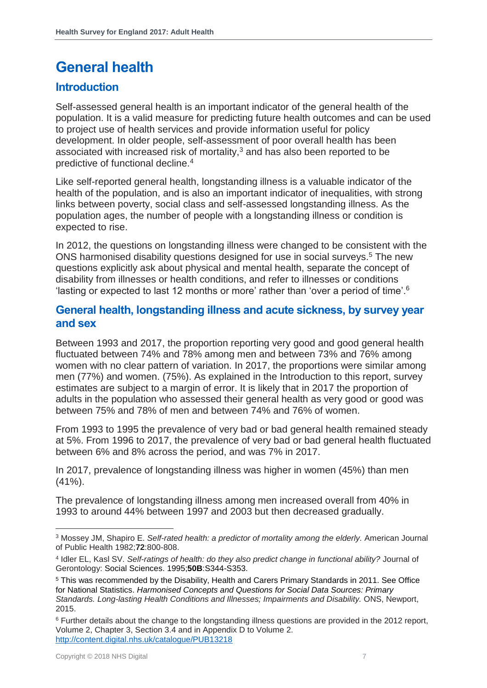# <span id="page-6-0"></span>**General health**

## <span id="page-6-1"></span>**Introduction**

Self-assessed general health is an important indicator of the general health of the population. It is a valid measure for predicting future health outcomes and can be used to project use of health services and provide information useful for policy development. In older people, self-assessment of poor overall health has been associated with increased risk of mortality, $3$  and has also been reported to be predictive of functional decline.<sup>4</sup>

Like self-reported general health, longstanding illness is a valuable indicator of the health of the population, and is also an important indicator of inequalities, with strong links between poverty, social class and self-assessed longstanding illness. As the population ages, the number of people with a longstanding illness or condition is expected to rise.

In 2012, the questions on longstanding illness were changed to be consistent with the ONS harmonised disability questions designed for use in social surveys.<sup>5</sup> The new questions explicitly ask about physical and mental health, separate the concept of disability from illnesses or health conditions, and refer to illnesses or conditions 'lasting or expected to last 12 months or more' rather than 'over a period of time'.<sup>6</sup>

## <span id="page-6-2"></span>**General health, longstanding illness and acute sickness, by survey year and sex**

Between 1993 and 2017, the proportion reporting very good and good general health fluctuated between 74% and 78% among men and between 73% and 76% among women with no clear pattern of variation. In 2017, the proportions were similar among men (77%) and women. (75%). As explained in the Introduction to this report, survey estimates are subject to a margin of error. It is likely that in 2017 the proportion of adults in the population who assessed their general health as very good or good was between 75% and 78% of men and between 74% and 76% of women.

From 1993 to 1995 the prevalence of very bad or bad general health remained steady at 5%. From 1996 to 2017, the prevalence of very bad or bad general health fluctuated between 6% and 8% across the period, and was 7% in 2017.

In 2017, prevalence of longstanding illness was higher in women (45%) than men (41%).

The prevalence of longstanding illness among men increased overall from 40% in 1993 to around 44% between 1997 and 2003 but then decreased gradually.

l <sup>3</sup> Mossey JM, Shapiro E. *Self-rated health: a predictor of mortality among the elderly.* American Journal of Public Health 1982;**72**:800-808.

<sup>4</sup> Idler EL, Kasl SV. *Self-ratings of health: do they also predict change in functional ability?* Journal of Gerontology: Social Sciences. 1995;**50B**:S344-S353.

<sup>5</sup> This was recommended by the Disability, Health and Carers Primary Standards in 2011. See Office for National Statistics. *Harmonised Concepts and Questions for Social Data Sources: Primary Standards. Long-lasting Health Conditions and Illnesses; Impairments and Disability.* ONS, Newport, 2015.

<sup>&</sup>lt;sup>6</sup> Further details about the change to the longstanding illness questions are provided in the 2012 report, Volume 2, Chapter 3, Section 3.4 and in Appendix D to Volume 2. <http://content.digital.nhs.uk/catalogue/PUB13218>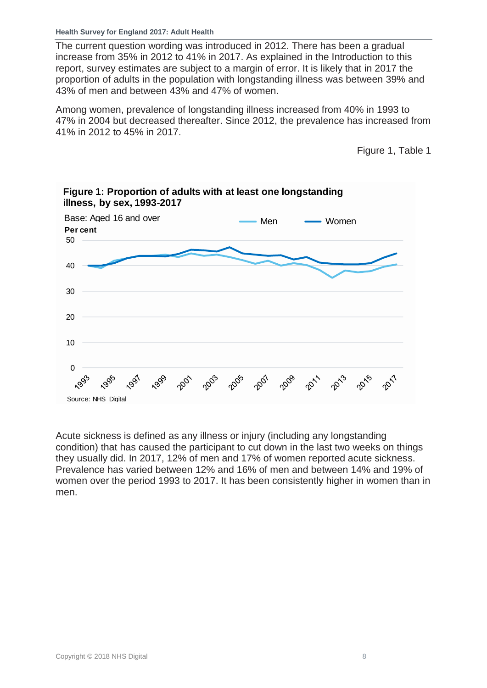The current question wording was introduced in 2012. There has been a gradual increase from 35% in 2012 to 41% in 2017. As explained in the Introduction to this report, survey estimates are subject to a margin of error. It is likely that in 2017 the proportion of adults in the population with longstanding illness was between 39% and 43% of men and between 43% and 47% of women.

Among women, prevalence of longstanding illness increased from 40% in 1993 to 47% in 2004 but decreased thereafter. Since 2012, the prevalence has increased from 41% in 2012 to 45% in 2017.

Figure 1, Table 1



**Figure 1: Proportion of adults with at least one longstanding illness, by sex, 1993-2017**

Acute sickness is defined as any illness or injury (including any longstanding condition) that has caused the participant to cut down in the last two weeks on things they usually did. In 2017, 12% of men and 17% of women reported acute sickness. Prevalence has varied between 12% and 16% of men and between 14% and 19% of women over the period 1993 to 2017. It has been consistently higher in women than in men.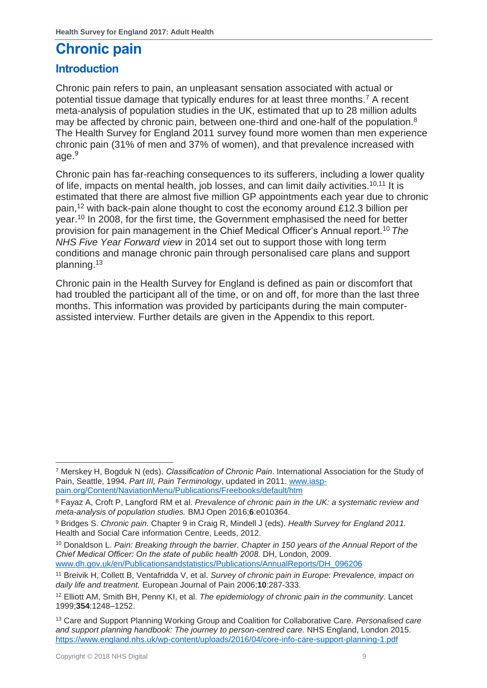# <span id="page-8-0"></span>**Chronic pain**

## <span id="page-8-1"></span>**Introduction**

Chronic pain refers to pain, an unpleasant sensation associated with actual or potential tissue damage that typically endures for at least three months.<sup>7</sup> A recent meta-analysis of population studies in the UK, estimated that up to 28 million adults may be affected by chronic pain, between one-third and one-half of the population.<sup>8</sup> The Health Survey for England 2011 survey found more women than men experience chronic pain (31% of men and 37% of women), and that prevalence increased with age.<sup>9</sup>

<span id="page-8-2"></span>Chronic pain has far-reaching consequences to its sufferers, including a lower quality of life, impacts on mental health, job losses, and can limit daily activities.10,11 It is estimated that there are almost five million GP appointments each year due to chronic pain,<sup>12</sup> with back-pain alone thought to cost the economy around £12.3 billion per year.[10](#page-8-2) In 2008, for the first time, the Government emphasised the need for better provision for pain management in the Chief Medical Officer's Annual report. [10](#page-8-2) *The NHS Five Year Forward view* in 2014 set out to support those with long term conditions and manage chronic pain through personalised care plans and support planning.<sup>13</sup>

Chronic pain in the Health Survey for England is defined as pain or discomfort that had troubled the participant all of the time, or on and off, for more than the last three months. This information was provided by participants during the main computerassisted interview. Further details are given in the Appendix to this report.

<sup>7</sup> Merskey H, Bogduk N (eds). *Classification of Chronic Pain*. International Association for the Study of Pain, Seattle, 1994. *Part III, Pain Terminology*, updated in 2011. [www.iasp](http://www.iasp-pain.org/Content/NaviationMenu/Publications/Freebooks/default/htm)[pain.org/Content/NaviationMenu/Publications/Freebooks/default/htm](http://www.iasp-pain.org/Content/NaviationMenu/Publications/Freebooks/default/htm)

<sup>8</sup> Fayaz A, Croft P, Langford RM et al. *Prevalence of chronic pain in the UK: a systematic review and meta-analysis of population studies.* BMJ Open 2016;**6**:e010364.

<sup>9</sup> Bridges S. *Chronic pain.* Chapter 9 in Craig R, Mindell J (eds). *Health Survey for England 2011.*  Health and Social Care information Centre, Leeds, 2012.

<sup>10</sup> Donaldson L. *Pain: Breaking through the barrier. Chapter in 150 years of the Annual Report of the Chief Medical Officer: On the state of public health 2008.* DH, London, 2009. [www.dh.gov.uk/en/Publicationsandstatistics/Publications/AnnualReports/DH\\_096206](http://www.dh.gov.uk/en/Publicationsandstatistics/Publications/AnnualReports/DH_096206)

<sup>11</sup> Breivik H, Collett B, Ventafridda V, et al. *Survey of chronic pain in Europe: Prevalence, impact on daily life and treatment.* European Journal of Pain 2006;**10**:287-333.

<sup>12</sup> Elliott AM, Smith BH, Penny KI, et al. *The epidemiology of chronic pain in the community.* Lancet 1999;**354**:1248–1252.

<sup>13</sup> Care and Support Planning Working Group and Coalition for Collaborative Care. *Personalised care and support planning handbook: The journey to person-centred care.* NHS England, London 2015. <https://www.england.nhs.uk/wp-content/uploads/2016/04/core-info-care-support-planning-1.pdf>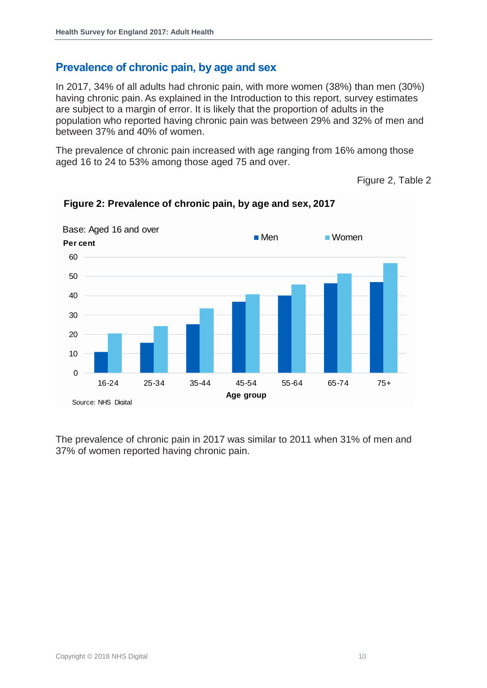## <span id="page-9-0"></span>**Prevalence of chronic pain, by age and sex**

In 2017, 34% of all adults had chronic pain, with more women (38%) than men (30%) having chronic pain. As explained in the Introduction to this report, survey estimates are subject to a margin of error. It is likely that the proportion of adults in the population who reported having chronic pain was between 29% and 32% of men and between 37% and 40% of women.

The prevalence of chronic pain increased with age ranging from 16% among those aged 16 to 24 to 53% among those aged 75 and over.

Figure 2, Table 2



**Figure 2: Prevalence of chronic pain, by age and sex, 2017**

The prevalence of chronic pain in 2017 was similar to 2011 when 31% of men and 37% of women reported having chronic pain.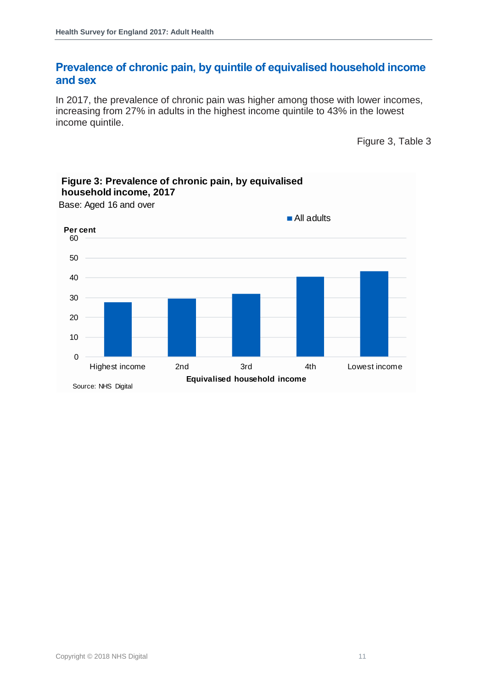## <span id="page-10-0"></span>**Prevalence of chronic pain, by quintile of equivalised household income and sex**

In 2017, the prevalence of chronic pain was higher among those with lower incomes, increasing from 27% in adults in the highest income quintile to 43% in the lowest income quintile.

Figure 3, Table 3



Base: Aged 16 and over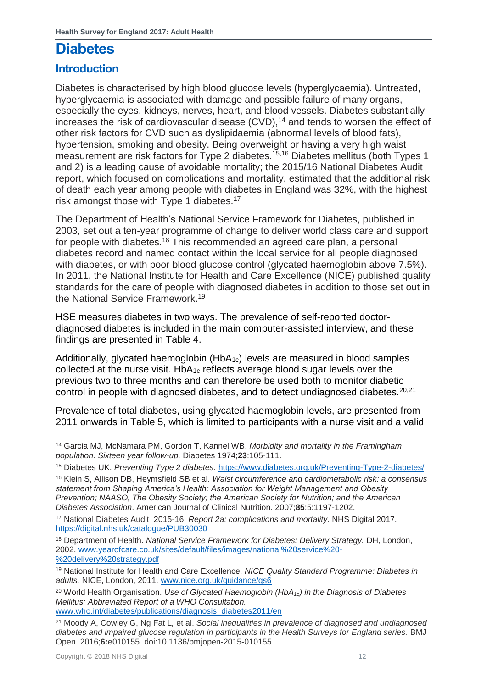## <span id="page-11-0"></span>**Diabetes**

## <span id="page-11-1"></span>**Introduction**

Diabetes is characterised by high blood glucose levels (hyperglycaemia). Untreated, hyperglycaemia is associated with damage and possible failure of many organs, especially the eyes, kidneys, nerves, heart, and blood vessels. Diabetes substantially increases the risk of cardiovascular disease  $(CVD)$ ,<sup>14</sup> and tends to worsen the effect of other risk factors for CVD such as dyslipidaemia (abnormal levels of blood fats), hypertension, smoking and obesity. Being overweight or having a very high waist measurement are risk factors for Type 2 diabetes.<sup>15,16</sup> Diabetes mellitus (both Types 1 and 2) is a leading cause of avoidable mortality; the 2015/16 National Diabetes Audit report, which focused on complications and mortality, estimated that the additional risk of death each year among people with diabetes in England was 32%, with the highest risk amongst those with Type 1 diabetes.<sup>17</sup>

The Department of Health's National Service Framework for Diabetes, published in 2003, set out a ten-year programme of change to deliver world class care and support for people with diabetes.<sup>18</sup> This recommended an agreed care plan, a personal diabetes record and named contact within the local service for all people diagnosed with diabetes, or with poor blood glucose control (glycated haemoglobin above 7.5%). In 2011, the National Institute for Health and Care Excellence (NICE) published quality standards for the care of people with diagnosed diabetes in addition to those set out in the National Service Framework.<sup>19</sup>

HSE measures diabetes in two ways. The prevalence of self-reported doctordiagnosed diabetes is included in the main computer-assisted interview, and these findings are presented in Table 4.

Additionally, glycated haemoglobin (HbA<sub>1c</sub>) levels are measured in blood samples collected at the nurse visit.  $HbA_{1c}$  reflects average blood sugar levels over the previous two to three months and can therefore be used both to monitor diabetic control in people with diagnosed diabetes, and to detect undiagnosed diabetes.<sup>20,21</sup>

Prevalence of total diabetes, using glycated haemoglobin levels, are presented from 2011 onwards in Table 5, which is limited to participants with a nurse visit and a valid

<sup>20</sup> World Health Organisation. *Use of Glycated Haemoglobin (HbA1c) in the Diagnosis of Diabetes Mellitus: Abbreviated Report of a WHO Consultation.* 

[www.who.int/diabetes/publications/diagnosis\\_diabetes2011/en](http://www.who.int/diabetes/publications/diagnosis_diabetes2011/en)

l <sup>14</sup> Garcia MJ, McNamara PM, Gordon T, Kannel WB. *Morbidity and mortality in the Framingham population. Sixteen year follow-up.* Diabetes 1974;**23**:105-111.

<sup>15</sup> Diabetes UK. *Preventing Type 2 diabetes*. <https://www.diabetes.org.uk/Preventing-Type-2-diabetes/>

<sup>16</sup> Klein S, Allison DB, Heymsfield SB et al. *Waist circumference and cardiometabolic risk: a consensus statement from Shaping America's Health: Association for Weight Management and Obesity Prevention; NAASO, The Obesity Society; the American Society for Nutrition; and the American Diabetes Association*. American Journal of Clinical Nutrition. 2007;**85**:5:1197-1202.

<sup>17</sup> National Diabetes Audit 2015-16. *Report 2a: complications and mortality.* NHS Digital 2017. <https://digital.nhs.uk/catalogue/PUB30030>

<sup>&</sup>lt;sup>18</sup> Department of Health. *National Service Framework for Diabetes: Delivery Strategy.* DH, London, 2002. [www.yearofcare.co.uk/sites/default/files/images/national%20service%20-](http://www.yearofcare.co.uk/sites/default/files/images/national%20service%20-%20delivery%20strategy.pdf) [%20delivery%20strategy.pdf](http://www.yearofcare.co.uk/sites/default/files/images/national%20service%20-%20delivery%20strategy.pdf) 

<sup>19</sup> National Institute for Health and Care Excellence. *NICE Quality Standard Programme: Diabetes in adults.* NICE, London, 2011. [www.nice.org.uk/guidance/qs6](http://www.nice.org.uk/guidance/qs6) 

<sup>21</sup> Moody A, Cowley G, Ng Fat L*,* et al. *Social inequalities in prevalence of diagnosed and undiagnosed diabetes and impaired glucose regulation in participants in the Health Surveys for England series.* BMJ Open*.* 2016;**6:**e010155. doi:10.1136/bmjopen-2015-010155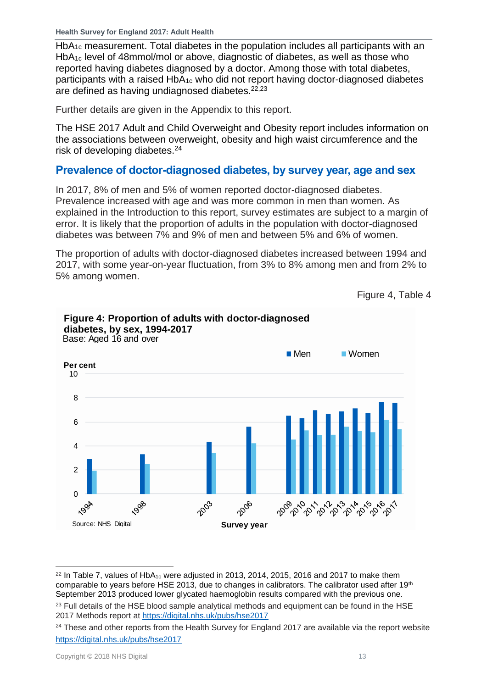**Health Survey for England 2017: Adult Health**

HbA<sub>1c</sub> measurement. Total diabetes in the population includes all participants with an HbA1c level of 48mmol/mol or above, diagnostic of diabetes, as well as those who reported having diabetes diagnosed by a doctor. Among those with total diabetes, participants with a raised HbA1c who did not report having doctor-diagnosed diabetes are defined as having undiagnosed diabetes.<sup>22,23</sup>

Further details are given in the Appendix to this report.

The HSE 2017 Adult and Child Overweight and Obesity report includes information on the associations between overweight, obesity and high waist circumference and the risk of developing diabetes.<sup>24</sup>

## <span id="page-12-0"></span>**Prevalence of doctor-diagnosed diabetes, by survey year, age and sex**

In 2017, 8% of men and 5% of women reported doctor-diagnosed diabetes. Prevalence increased with age and was more common in men than women. As explained in the Introduction to this report, survey estimates are subject to a margin of error. It is likely that the proportion of adults in the population with doctor-diagnosed diabetes was between 7% and 9% of men and between 5% and 6% of women.

The proportion of adults with doctor-diagnosed diabetes increased between 1994 and 2017, with some year-on-year fluctuation, from 3% to 8% among men and from 2% to 5% among women.

```
Figure 4, Table 4
```


**Figure 4: Proportion of adults with doctor-diagnosed diabetes, by sex, 1994-2017**

 $22$  In Table 7, values of HbA<sub>1c</sub> were adjusted in 2013, 2014, 2015, 2016 and 2017 to make them comparable to years before HSE 2013, due to changes in calibrators. The calibrator used after 19<sup>th</sup> September 2013 produced lower glycated haemoglobin results compared with the previous one. <sup>23</sup> Full details of the HSE blood sample analytical methods and equipment can be found in the HSE 2017 Methods report at<https://digital.nhs.uk/pubs/hse2017>

<sup>&</sup>lt;sup>24</sup> These and other reports from the Health Survey for England 2017 are available via the report website <https://digital.nhs.uk/pubs/hse2017>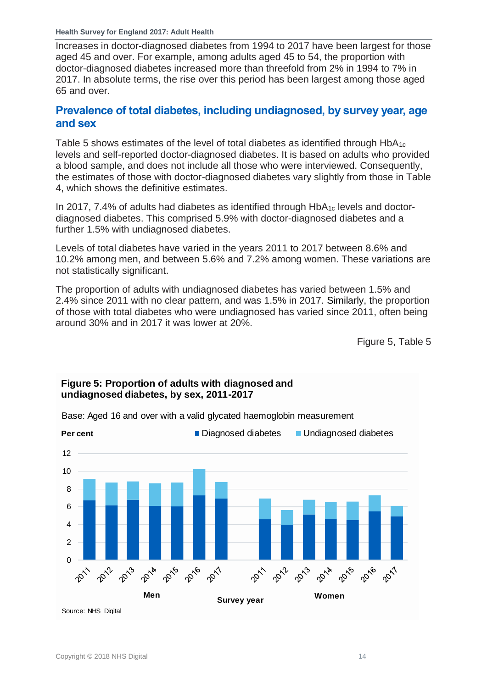**Health Survey for England 2017: Adult Health**

Increases in doctor-diagnosed diabetes from 1994 to 2017 have been largest for those aged 45 and over. For example, among adults aged 45 to 54, the proportion with doctor-diagnosed diabetes increased more than threefold from 2% in 1994 to 7% in 2017. In absolute terms, the rise over this period has been largest among those aged 65 and over.

## <span id="page-13-0"></span>**Prevalence of total diabetes, including undiagnosed, by survey year, age and sex**

Table 5 shows estimates of the level of total diabetes as identified through  $HbA_{1c}$ levels and self-reported doctor-diagnosed diabetes. It is based on adults who provided a blood sample, and does not include all those who were interviewed. Consequently, the estimates of those with doctor-diagnosed diabetes vary slightly from those in Table 4, which shows the definitive estimates.

In 2017, 7.4% of adults had diabetes as identified through  $HbA_{1c}$  levels and doctordiagnosed diabetes. This comprised 5.9% with doctor-diagnosed diabetes and a further 1.5% with undiagnosed diabetes.

Levels of total diabetes have varied in the years 2011 to 2017 between 8.6% and 10.2% among men, and between 5.6% and 7.2% among women. These variations are not statistically significant.

The proportion of adults with undiagnosed diabetes has varied between 1.5% and 2.4% since 2011 with no clear pattern, and was 1.5% in 2017. Similarly, the proportion of those with total diabetes who were undiagnosed has varied since 2011, often being around 30% and in 2017 it was lower at 20%.

Figure 5, Table 5



## **Figure 5: Proportion of adults with diagnosed and undiagnosed diabetes, by sex, 2011-2017**

Copyright © 2018 NHS Digital 14

Base: Aged 16 and over with a valid glycated haemoglobin measurement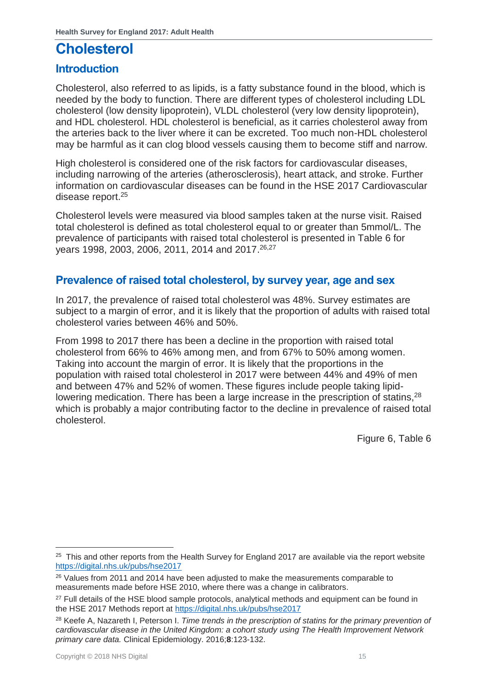## <span id="page-14-0"></span>**Cholesterol**

## <span id="page-14-1"></span>**Introduction**

Cholesterol, also referred to as lipids, is a fatty substance found in the blood, which is needed by the body to function. There are different types of cholesterol including LDL cholesterol (low density lipoprotein), VLDL cholesterol (very low density lipoprotein), and HDL cholesterol. HDL cholesterol is beneficial, as it carries cholesterol away from the arteries back to the liver where it can be excreted. Too much non-HDL cholesterol may be harmful as it can clog blood vessels causing them to become stiff and narrow.

High cholesterol is considered one of the risk factors for cardiovascular diseases, including narrowing of the arteries (atherosclerosis), heart attack, and stroke. Further information on cardiovascular diseases can be found in the HSE 2017 Cardiovascular disease report.<sup>25</sup>

Cholesterol levels were measured via blood samples taken at the nurse visit. Raised total cholesterol is defined as total cholesterol equal to or greater than 5mmol/L. The prevalence of participants with raised total cholesterol is presented in Table 6 for years 1998, 2003, 2006, 2011, 2014 and 2017. 26,27

## <span id="page-14-2"></span>**Prevalence of raised total cholesterol, by survey year, age and sex**

In 2017, the prevalence of raised total cholesterol was 48%. Survey estimates are subject to a margin of error, and it is likely that the proportion of adults with raised total cholesterol varies between 46% and 50%.

From 1998 to 2017 there has been a decline in the proportion with raised total cholesterol from 66% to 46% among men, and from 67% to 50% among women. Taking into account the margin of error. It is likely that the proportions in the population with raised total cholesterol in 2017 were between 44% and 49% of men and between 47% and 52% of women. These figures include people taking lipidlowering medication. There has been a large increase in the prescription of statins,<sup>28</sup> which is probably a major contributing factor to the decline in prevalence of raised total cholesterol.

Figure 6, Table 6

l <sup>25</sup> This and other reports from the Health Survey for England 2017 are available via the report website <https://digital.nhs.uk/pubs/hse2017>

<sup>&</sup>lt;sup>26</sup> Values from 2011 and 2014 have been adjusted to make the measurements comparable to measurements made before HSE 2010, where there was a change in calibrators.

<sup>&</sup>lt;sup>27</sup> Full details of the HSE blood sample protocols, analytical methods and equipment can be found in the HSE 2017 Methods report at<https://digital.nhs.uk/pubs/hse2017>

<sup>28</sup> Keefe A, Nazareth I, Peterson I. *Time trends in the prescription of statins for the primary prevention of cardiovascular disease in the United Kingdom: a cohort study using The Health Improvement Network primary care data.* Clinical Epidemiology. 2016;**8**:123-132.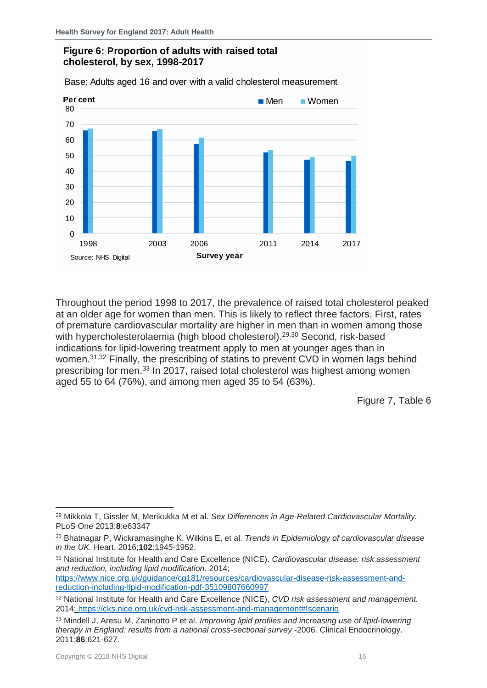#### **Figure 6: Proportion of adults with raised total cholesterol, by sex, 1998-2017**

Base: Adults aged 16 and over with a valid cholesterol measurement



Throughout the period 1998 to 2017, the prevalence of raised total cholesterol peaked at an older age for women than men. This is likely to reflect three factors. First, rates of premature cardiovascular mortality are higher in men than in women among those with hypercholesterolaemia (high blood cholesterol).<sup>29,30</sup> Second, risk-based indications for lipid-lowering treatment apply to men at younger ages than in women.<sup>31,32</sup> Finally, the prescribing of statins to prevent CVD in women lags behind prescribing for men.<sup>33</sup> In 2017, raised total cholesterol was highest among women aged 55 to 64 (76%), and among men aged 35 to 54 (63%).

Figure 7, Table 6

<sup>31</sup> National Institute for Health and Care Excellence (NICE). *Cardiovascular disease: risk assessment and reduction, including lipid modification.* 2014;

[https://www.nice.org.uk/guidance/cg181/resources/cardiovascular-disease-risk-assessment-and](https://www.nice.org.uk/guidance/cg181/resources/cardiovascular-disease-risk-assessment-and-reduction-including-lipid-modification-pdf-35109807660997)[reduction-including-lipid-modification-pdf-35109807660997](https://www.nice.org.uk/guidance/cg181/resources/cardiovascular-disease-risk-assessment-and-reduction-including-lipid-modification-pdf-35109807660997)

<sup>29</sup> Mikkola T, Gissler M, Merikukka M et al. *Sex Differences in Age-Related Cardiovascular Mortality.*  PLoS One 2013;**8**:e63347

<sup>30</sup> Bhatnagar P, Wickramasinghe K, Wilkins E, et al. *Trends in Epidemiology of cardiovascular disease in the UK.* Heart. 2016;**102**:1945-1952.

<sup>32</sup> National Institute for Health and Care Excellence (NICE), *CVD risk assessment and management.*  2014;<https://cks.nice.org.uk/cvd-risk-assessment-and-management#!scenario>

<sup>33</sup> Mindell J, Aresu M, Zaninotto P et al. *Improving lipid profiles and increasing use of lipid-lowering therapy in England: results from a national cross-sectional survey* -2006. Clinical Endocrinology. 2011;**86**:621-627.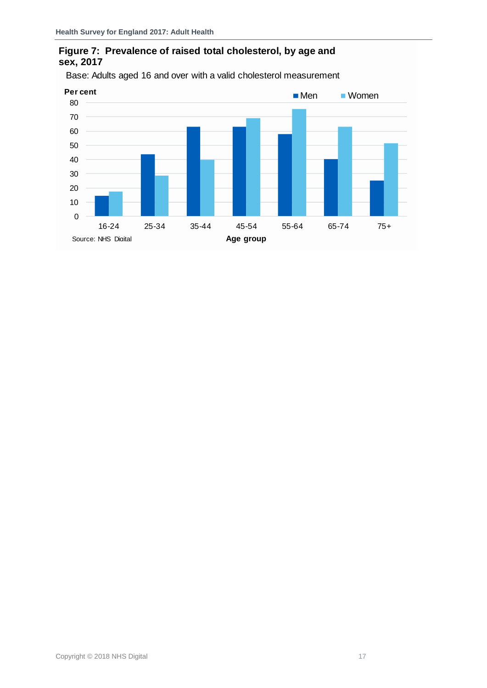## **Figure 7: Prevalence of raised total cholesterol, by age and sex, 2017**



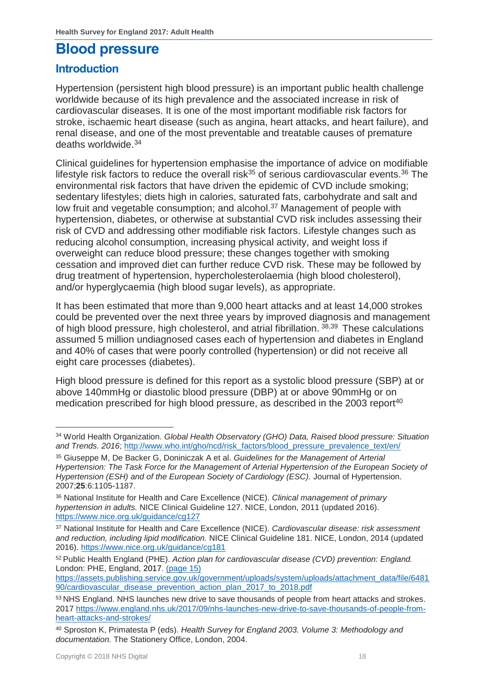## <span id="page-17-0"></span>**Blood pressure**

## <span id="page-17-1"></span>**Introduction**

Hypertension (persistent high blood pressure) is an important public health challenge worldwide because of its high prevalence and the associated increase in risk of cardiovascular diseases. It is one of the most important modifiable risk factors for stroke, ischaemic heart disease (such as angina, heart attacks, and heart failure), and renal disease, and one of the most preventable and treatable causes of premature deaths worldwide.<sup>34</sup>

Clinical guidelines for hypertension emphasise the importance of advice on modifiable lifestyle risk factors to reduce the overall risk<sup>35</sup> of serious cardiovascular events.<sup>36</sup> The environmental risk factors that have driven the epidemic of CVD include smoking; sedentary lifestyles; diets high in calories, saturated fats, carbohydrate and salt and low fruit and vegetable consumption; and alcohol.<sup>37</sup> Management of people with hypertension, diabetes, or otherwise at substantial CVD risk includes assessing their risk of CVD and addressing other modifiable risk factors. Lifestyle changes such as reducing alcohol consumption, increasing physical activity, and weight loss if overweight can reduce blood pressure; these changes together with smoking cessation and improved diet can further reduce CVD risk. These may be followed by drug treatment of hypertension, hypercholesterolaemia (high blood cholesterol), and/or hyperglycaemia (high blood sugar levels), as appropriate.

It has been estimated that more than 9,000 heart attacks and at least 14,000 strokes could be prevented over the next three years by improved diagnosis and management of high blood pressure, high cholesterol, and atrial fibrillation.  $38,39$  These calculations assumed 5 million undiagnosed cases each of hypertension and diabetes in England and 40% of cases that were poorly controlled (hypertension) or did not receive all eight care processes (diabetes).

High blood pressure is defined for this report as a systolic blood pressure (SBP) at or above 140mmHg or diastolic blood pressure (DBP) at or above 90mmHg or on medication prescribed for high blood pressure, as described in the 2003 report<sup>40</sup>

 $\overline{a}$ 

<sup>34</sup> World Health Organization. *Global Health Observatory (GHO) Data, Raised blood pressure: Situation and Trends. 2016*; [http://www.who.int/gho/ncd/risk\\_factors/blood\\_pressure\\_prevalence\\_text/en/](http://www.who.int/gho/ncd/risk_factors/blood_pressure_prevalence_text/en/)

<sup>35</sup> Giuseppe M, De Backer G, Doniniczak A et al. *Guidelines for the Management of Arterial Hypertension: The Task Force for the Management of Arterial Hypertension of the European Society of Hypertension (ESH) and of the European Society of Cardiology (ESC).* Journal of Hypertension. 2007;**25**:6:1105-1187.

<sup>36</sup> National Institute for Health and Care Excellence (NICE). *Clinical management of primary hypertension in adults.* NICE Clinical Guideline 127. NICE, London, 2011 (updated 2016). <https://www.nice.org.uk/guidance/cg127>

<sup>37</sup> National Institute for Health and Care Excellence (NICE). *Cardiovascular disease: risk assessment and reduction, including lipid modification.* NICE Clinical Guideline 181. NICE, London, 2014 (updated 2016).<https://www.nice.org.uk/guidance/cg181>

<sup>52</sup>Public Health England (PHE). *Action plan for cardiovascular disease (CVD) prevention: England.*  London: PHE, England, 2017. (page 15)

[https://assets.publishing.service.gov.uk/government/uploads/system/uploads/attachment\\_data/file/6481](https://assets.publishing.service.gov.uk/government/uploads/system/uploads/attachment_data/file/648190/cardiovascular_disease_prevention_action_plan_2017_to_2018.pdf) [90/cardiovascular\\_disease\\_prevention\\_action\\_plan\\_2017\\_to\\_2018.pdf](https://assets.publishing.service.gov.uk/government/uploads/system/uploads/attachment_data/file/648190/cardiovascular_disease_prevention_action_plan_2017_to_2018.pdf)

<sup>53</sup> NHS England. NHS launches new drive to save thousands of people from heart attacks and strokes. 2017 [https://www.england.nhs.uk/2017/09/nhs-launches-new-drive-to-save-thousands-of-people-from](https://www.england.nhs.uk/2017/09/nhs-launches-new-drive-to-save-thousands-of-people-from-heart-attacks-and-strokes/)[heart-attacks-and-strokes/](https://www.england.nhs.uk/2017/09/nhs-launches-new-drive-to-save-thousands-of-people-from-heart-attacks-and-strokes/)

<sup>40</sup> Sproston K, Primatesta P (eds). *Health Survey for England 2003. Volume 3: Methodology and documentation.* The Stationery Office, London, 2004.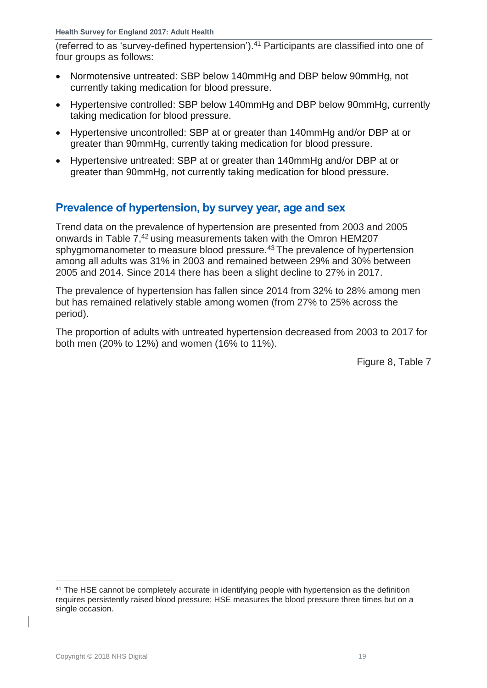(referred to as 'survey-defined hypertension').<sup>41</sup> Participants are classified into one of four groups as follows:

- Normotensive untreated: SBP below 140mmHg and DBP below 90mmHg, not currently taking medication for blood pressure.
- Hypertensive controlled: SBP below 140mmHg and DBP below 90mmHg, currently taking medication for blood pressure.
- Hypertensive uncontrolled: SBP at or greater than 140mmHg and/or DBP at or greater than 90mmHg, currently taking medication for blood pressure.
- Hypertensive untreated: SBP at or greater than 140mmHg and/or DBP at or greater than 90mmHg, not currently taking medication for blood pressure.

## <span id="page-18-0"></span>**Prevalence of hypertension, by survey year, age and sex**

Trend data on the prevalence of hypertension are presented from 2003 and 2005 onwards in Table 7,<sup>42</sup> using measurements taken with the Omron HEM207 sphygmomanometer to measure blood pressure.<sup>43</sup> The prevalence of hypertension among all adults was 31% in 2003 and remained between 29% and 30% between 2005 and 2014. Since 2014 there has been a slight decline to 27% in 2017.

The prevalence of hypertension has fallen since 2014 from 32% to 28% among men but has remained relatively stable among women (from 27% to 25% across the period).

The proportion of adults with untreated hypertension decreased from 2003 to 2017 for both men (20% to 12%) and women (16% to 11%).

Figure 8, Table 7

<sup>41</sup> The HSE cannot be completely accurate in identifying people with hypertension as the definition requires persistently raised blood pressure; HSE measures the blood pressure three times but on a single occasion.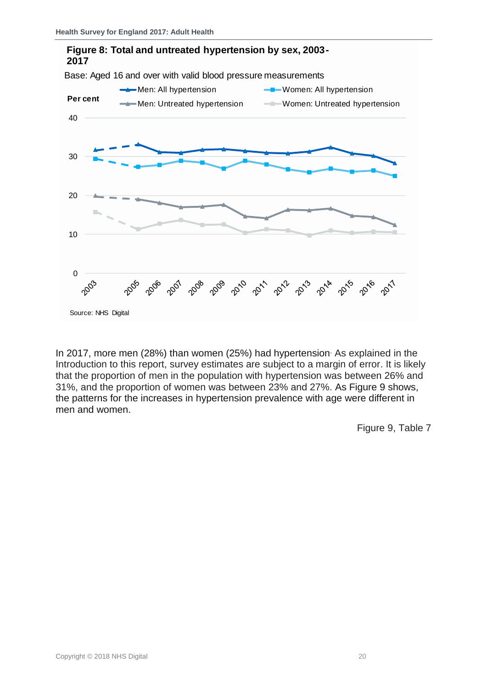

In 2017, more men (28%) than women (25%) had hypertension. As explained in the Introduction to this report, survey estimates are subject to a margin of error. It is likely that the proportion of men in the population with hypertension was between 26% and 31%, and the proportion of women was between 23% and 27%. As Figure 9 shows, the patterns for the increases in hypertension prevalence with age were different in men and women.

Figure 9, Table 7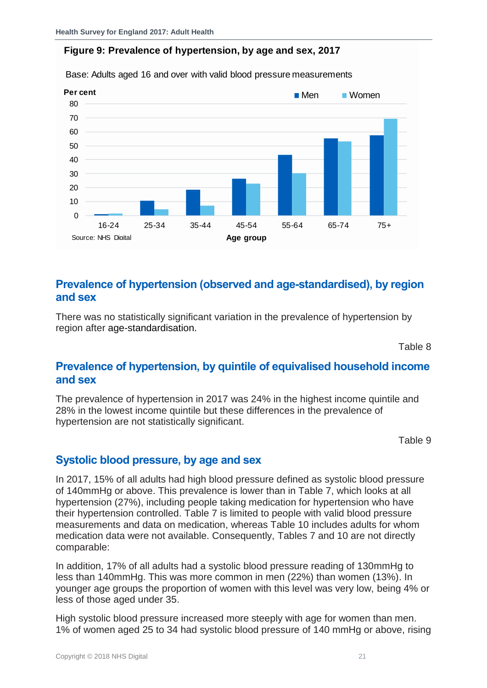#### **Figure 9: Prevalence of hypertension, by age and sex, 2017**



Base: Adults aged 16 and over with valid blood pressure measurements

## <span id="page-20-0"></span>**Prevalence of hypertension (observed and age-standardised), by region and sex**

There was no statistically significant variation in the prevalence of hypertension by region after age-standardisation.

Table 8

## <span id="page-20-1"></span>**Prevalence of hypertension, by quintile of equivalised household income and sex**

The prevalence of hypertension in 2017 was 24% in the highest income quintile and 28% in the lowest income quintile but these differences in the prevalence of hypertension are not statistically significant.

Table 9

## <span id="page-20-2"></span>**Systolic blood pressure, by age and sex**

In 2017, 15% of all adults had high blood pressure defined as systolic blood pressure of 140mmHg or above. This prevalence is lower than in Table 7, which looks at all hypertension (27%), including people taking medication for hypertension who have their hypertension controlled. Table 7 is limited to people with valid blood pressure measurements and data on medication, whereas Table 10 includes adults for whom medication data were not available. Consequently, Tables 7 and 10 are not directly comparable:

In addition, 17% of all adults had a systolic blood pressure reading of 130mmHg to less than 140mmHg. This was more common in men (22%) than women (13%). In younger age groups the proportion of women with this level was very low, being 4% or less of those aged under 35.

High systolic blood pressure increased more steeply with age for women than men. 1% of women aged 25 to 34 had systolic blood pressure of 140 mmHg or above, rising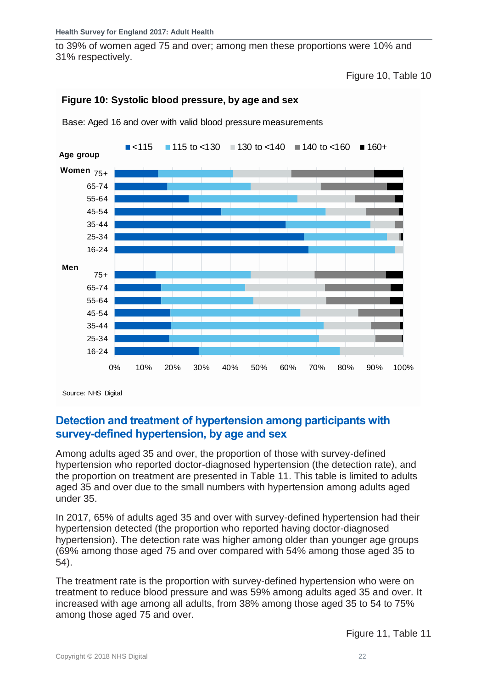to 39% of women aged 75 and over; among men these proportions were 10% and 31% respectively.

Figure 10, Table 10







Source: NHS Digital

## <span id="page-21-0"></span>**Detection and treatment of hypertension among participants with survey-defined hypertension, by age and sex**

Among adults aged 35 and over, the proportion of those with survey-defined hypertension who reported doctor-diagnosed hypertension (the detection rate), and the proportion on treatment are presented in Table 11. This table is limited to adults aged 35 and over due to the small numbers with hypertension among adults aged under 35.

In 2017, 65% of adults aged 35 and over with survey-defined hypertension had their hypertension detected (the proportion who reported having doctor-diagnosed hypertension). The detection rate was higher among older than younger age groups (69% among those aged 75 and over compared with 54% among those aged 35 to 54).

The treatment rate is the proportion with survey-defined hypertension who were on treatment to reduce blood pressure and was 59% among adults aged 35 and over. It increased with age among all adults, from 38% among those aged 35 to 54 to 75% among those aged 75 and over.

Figure 11, Table 11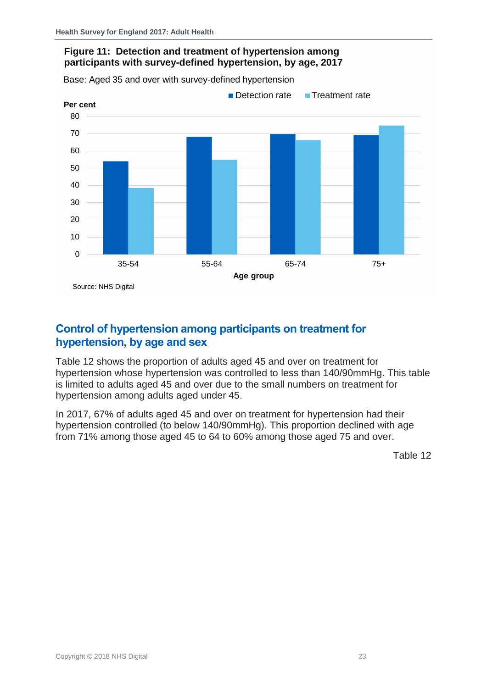## **Figure 11: Detection and treatment of hypertension among participants with survey-defined hypertension, by age, 2017**

Base: Aged 35 and over with survey-defined hypertension



## <span id="page-22-0"></span>**Control of hypertension among participants on treatment for hypertension, by age and sex**

Table 12 shows the proportion of adults aged 45 and over on treatment for hypertension whose hypertension was controlled to less than 140/90mmHg. This table is limited to adults aged 45 and over due to the small numbers on treatment for hypertension among adults aged under 45.

In 2017, 67% of adults aged 45 and over on treatment for hypertension had their hypertension controlled (to below 140/90mmHg). This proportion declined with age from 71% among those aged 45 to 64 to 60% among those aged 75 and over.

Table 12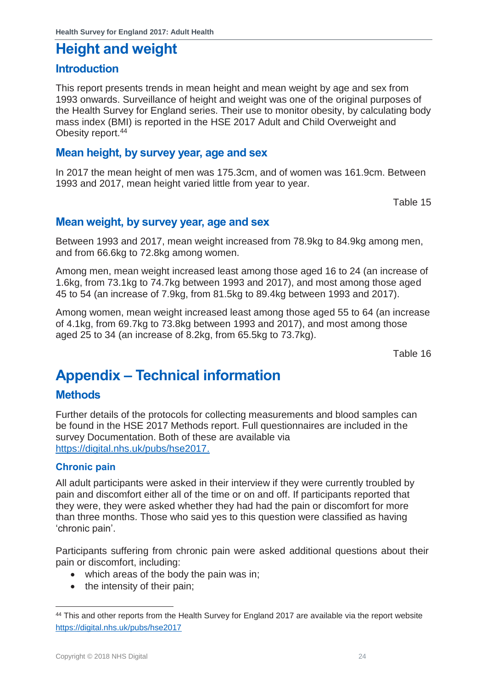## <span id="page-23-0"></span>**Height and weight**

## <span id="page-23-1"></span>**Introduction**

This report presents trends in mean height and mean weight by age and sex from 1993 onwards. Surveillance of height and weight was one of the original purposes of the Health Survey for England series. Their use to monitor obesity, by calculating body mass index (BMI) is reported in the HSE 2017 Adult and Child Overweight and Obesity report.<sup>44</sup>

## <span id="page-23-2"></span>**Mean height, by survey year, age and sex**

In 2017 the mean height of men was 175.3cm, and of women was 161.9cm. Between 1993 and 2017, mean height varied little from year to year.

Table 15

## <span id="page-23-3"></span>**Mean weight, by survey year, age and sex**

Between 1993 and 2017, mean weight increased from 78.9kg to 84.9kg among men, and from 66.6kg to 72.8kg among women.

Among men, mean weight increased least among those aged 16 to 24 (an increase of 1.6kg, from 73.1kg to 74.7kg between 1993 and 2017), and most among those aged 45 to 54 (an increase of 7.9kg, from 81.5kg to 89.4kg between 1993 and 2017).

Among women, mean weight increased least among those aged 55 to 64 (an increase of 4.1kg, from 69.7kg to 73.8kg between 1993 and 2017), and most among those aged 25 to 34 (an increase of 8.2kg, from 65.5kg to 73.7kg).

Table 16

## <span id="page-23-4"></span>**Appendix – Technical information**

## <span id="page-23-5"></span>**Methods**

Further details of the protocols for collecting measurements and blood samples can be found in the HSE 2017 Methods report. Full questionnaires are included in the survey Documentation. Both of these are available via [https://digital.nhs.uk/pubs/hse2017.](https://digital.nhs.uk/pubs/hse2017)

#### <span id="page-23-6"></span>**Chronic pain**

All adult participants were asked in their interview if they were currently troubled by pain and discomfort either all of the time or on and off. If participants reported that they were, they were asked whether they had had the pain or discomfort for more than three months. Those who said yes to this question were classified as having 'chronic pain'.

Participants suffering from chronic pain were asked additional questions about their pain or discomfort, including:

- which areas of the body the pain was in;
- the intensity of their pain:

<sup>44</sup> This and other reports from the Health Survey for England 2017 are available via the report website <https://digital.nhs.uk/pubs/hse2017>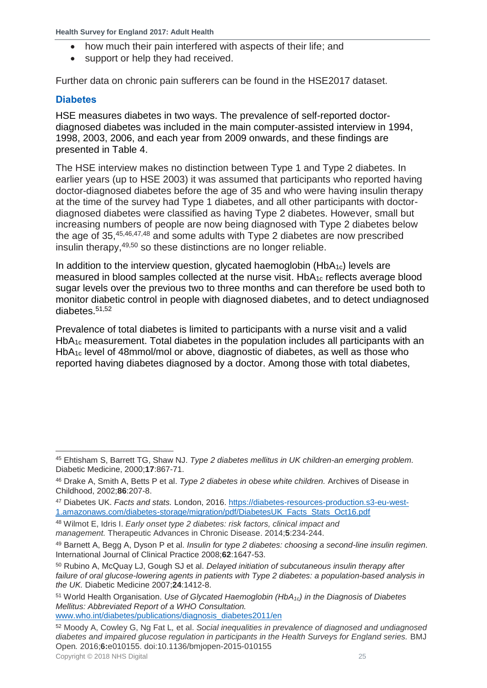- how much their pain interfered with aspects of their life; and
- <span id="page-24-0"></span>• support or help they had received.

Further data on chronic pain sufferers can be found in the HSE2017 dataset.

### **Diabetes**

HSE measures diabetes in two ways. The prevalence of self-reported doctordiagnosed diabetes was included in the main computer-assisted interview in 1994, 1998, 2003, 2006, and each year from 2009 onwards, and these findings are presented in Table 4.

The HSE interview makes no distinction between Type 1 and Type 2 diabetes. In earlier years (up to HSE 2003) it was assumed that participants who reported having doctor-diagnosed diabetes before the age of 35 and who were having insulin therapy at the time of the survey had Type 1 diabetes, and all other participants with doctordiagnosed diabetes were classified as having Type 2 diabetes. However, small but increasing numbers of people are now being diagnosed with Type 2 diabetes below the age of 35,45,46,47,48 and some adults with Type 2 diabetes are now prescribed insulin therapy,49,50 so these distinctions are no longer reliable.

In addition to the interview question, glycated haemoglobin ( $HbA_{1c}$ ) levels are measured in blood samples collected at the nurse visit.  $HbA_{1c}$  reflects average blood sugar levels over the previous two to three months and can therefore be used both to monitor diabetic control in people with diagnosed diabetes, and to detect undiagnosed diabetes.51,52

Prevalence of total diabetes is limited to participants with a nurse visit and a valid HbA<sub>1c</sub> measurement. Total diabetes in the population includes all participants with an HbA1c level of 48mmol/mol or above, diagnostic of diabetes, as well as those who reported having diabetes diagnosed by a doctor. Among those with total diabetes,

<sup>48</sup> Wilmot E, Idris I. *Early onset type 2 diabetes: risk factors, clinical impact and management.* Therapeutic Advances in Chronic Disease. 2014;**5**:234-244.

[www.who.int/diabetes/publications/diagnosis\\_diabetes2011/en](http://www.who.int/diabetes/publications/diagnosis_diabetes2011/en)

Copyright © 2018 NHS Digital 25 <sup>52</sup> Moody A, Cowley G, Ng Fat L*,* et al. *Social inequalities in prevalence of diagnosed and undiagnosed diabetes and impaired glucose regulation in participants in the Health Surveys for England series.* BMJ Open*.* 2016;**6:**e010155. doi:10.1136/bmjopen-2015-010155

<sup>45</sup> Ehtisham S, Barrett TG, Shaw NJ. *Type 2 diabetes mellitus in UK children-an emerging problem.* Diabetic Medicine, 2000;**17**:867-71.

<sup>46</sup> Drake A, Smith A, Betts P et al. *Type 2 diabetes in obese white children.* Archives of Disease in Childhood, 2002;**86**:207-8.

<sup>47</sup> Diabetes UK. *Facts and stats.* London, 2016. [https://diabetes-resources-production.s3-eu-west-](https://diabetes-resources-production.s3-eu-west-1.amazonaws.com/diabetes-storage/migration/pdf/DiabetesUK_Facts_Stats_Oct16.pdf)[1.amazonaws.com/diabetes-storage/migration/pdf/DiabetesUK\\_Facts\\_Stats\\_Oct16.pdf](https://diabetes-resources-production.s3-eu-west-1.amazonaws.com/diabetes-storage/migration/pdf/DiabetesUK_Facts_Stats_Oct16.pdf)

<sup>49</sup> Barnett A, Begg A, Dyson P et al. *Insulin for type 2 diabetes: choosing a second-line insulin regimen.* International Journal of Clinical Practice 2008;**62**:1647-53.

<sup>50</sup> Rubino A, McQuay LJ, Gough SJ et al. *Delayed initiation of subcutaneous insulin therapy after failure of oral glucose-lowering agents in patients with Type 2 diabetes: a population-based analysis in the UK.* Diabetic Medicine 2007;**24**:1412-8.

<sup>51</sup> World Health Organisation. *Use of Glycated Haemoglobin (HbA1c) in the Diagnosis of Diabetes Mellitus: Abbreviated Report of a WHO Consultation.*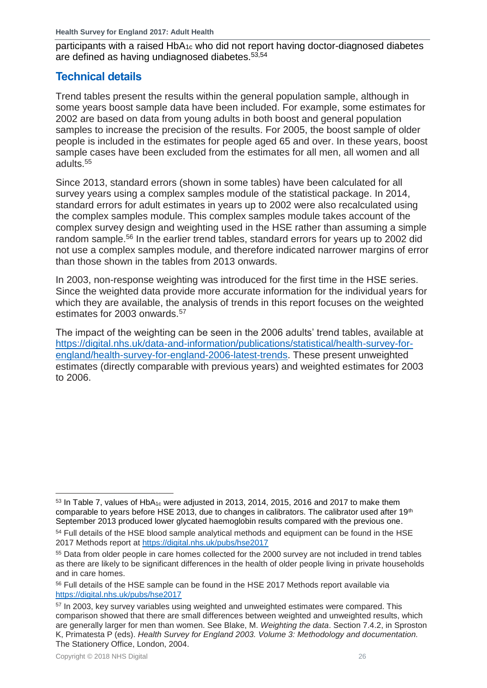participants with a raised HbA1c who did not report having doctor-diagnosed diabetes are defined as having undiagnosed diabetes.53,54

## <span id="page-25-0"></span>**Technical details**

Trend tables present the results within the general population sample, although in some years boost sample data have been included. For example, some estimates for 2002 are based on data from young adults in both boost and general population samples to increase the precision of the results. For 2005, the boost sample of older people is included in the estimates for people aged 65 and over. In these years, boost sample cases have been excluded from the estimates for all men, all women and all adults.<sup>55</sup>

Since 2013, standard errors (shown in some tables) have been calculated for all survey years using a complex samples module of the statistical package. In 2014, standard errors for adult estimates in years up to 2002 were also recalculated using the complex samples module. This complex samples module takes account of the complex survey design and weighting used in the HSE rather than assuming a simple random sample.<sup>56</sup> In the earlier trend tables, standard errors for years up to 2002 did not use a complex samples module, and therefore indicated narrower margins of error than those shown in the tables from 2013 onwards.

In 2003, non-response weighting was introduced for the first time in the HSE series. Since the weighted data provide more accurate information for the individual years for which they are available, the analysis of trends in this report focuses on the weighted estimates for 2003 onwards.<sup>57</sup>

The impact of the weighting can be seen in the 2006 adults' trend tables, available at [https://digital.nhs.uk/data-and-information/publications/statistical/health-survey-for](https://digital.nhs.uk/data-and-information/publications/statistical/health-survey-for-england/health-survey-for-england-2006-latest-trends)[england/health-survey-for-england-2006-latest-trends.](https://digital.nhs.uk/data-and-information/publications/statistical/health-survey-for-england/health-survey-for-england-2006-latest-trends) These present unweighted estimates (directly comparable with previous years) and weighted estimates for 2003 to 2006.

l  $53$  In Table 7, values of HbA<sub>1c</sub> were adjusted in 2013, 2014, 2015, 2016 and 2017 to make them comparable to years before HSE 2013, due to changes in calibrators. The calibrator used after 19<sup>th</sup> September 2013 produced lower glycated haemoglobin results compared with the previous one.

<sup>&</sup>lt;sup>54</sup> Full details of the HSE blood sample analytical methods and equipment can be found in the HSE 2017 Methods report at<https://digital.nhs.uk/pubs/hse2017>

<sup>55</sup> Data from older people in care homes collected for the 2000 survey are not included in trend tables as there are likely to be significant differences in the health of older people living in private households and in care homes.

<sup>56</sup> Full details of the HSE sample can be found in the HSE 2017 Methods report available via <https://digital.nhs.uk/pubs/hse2017>

<sup>&</sup>lt;sup>57</sup> In 2003, key survey variables using weighted and unweighted estimates were compared. This comparison showed that there are small differences between weighted and unweighted results, which are generally larger for men than women. See Blake, M. *Weighting the data*. Section 7.4.2, in Sproston K, Primatesta P (eds). *Health Survey for England 2003. Volume 3: Methodology and documentation.* The Stationery Office, London, 2004.